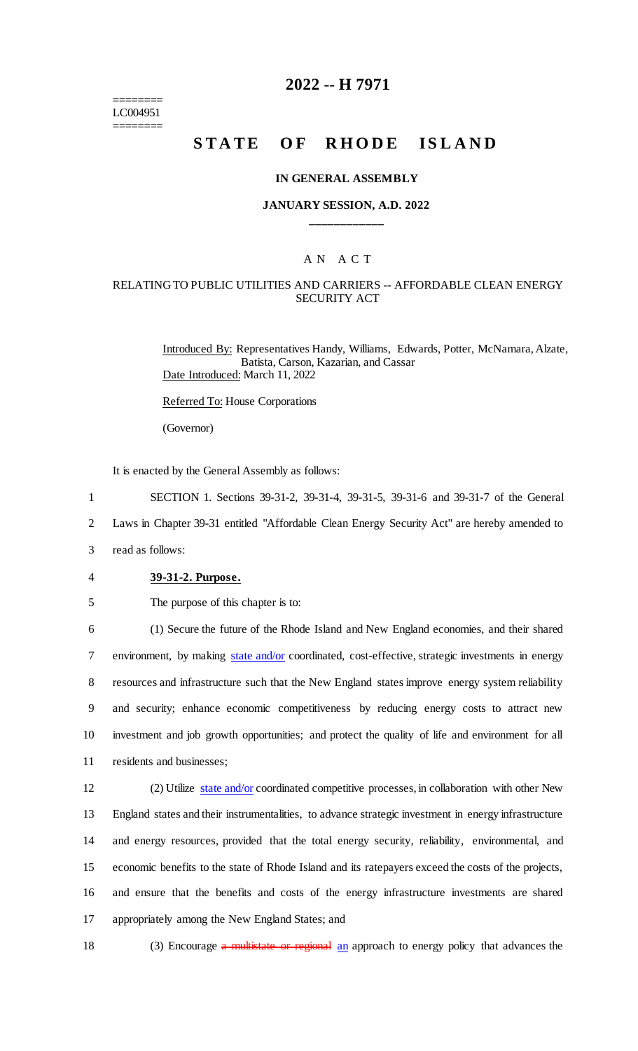======== LC004951 ========

## **2022 -- H 7971**

# **STATE OF RHODE ISLAND**

#### **IN GENERAL ASSEMBLY**

## **JANUARY SESSION, A.D. 2022 \_\_\_\_\_\_\_\_\_\_\_\_**

## A N A C T

## RELATING TO PUBLIC UTILITIES AND CARRIERS -- AFFORDABLE CLEAN ENERGY SECURITY ACT

Introduced By: Representatives Handy, Williams, Edwards, Potter, McNamara, Alzate, Batista, Carson, Kazarian, and Cassar Date Introduced: March 11, 2022

Referred To: House Corporations

(Governor)

It is enacted by the General Assembly as follows:

1 SECTION 1. Sections 39-31-2, 39-31-4, 39-31-5, 39-31-6 and 39-31-7 of the General

2 Laws in Chapter 39-31 entitled "Affordable Clean Energy Security Act" are hereby amended to

3 read as follows:

#### 4 **39-31-2. Purpose.**

5 The purpose of this chapter is to:

 (1) Secure the future of the Rhode Island and New England economies, and their shared 7 environment, by making state and/or coordinated, cost-effective, strategic investments in energy resources and infrastructure such that the New England states improve energy system reliability and security; enhance economic competitiveness by reducing energy costs to attract new investment and job growth opportunities; and protect the quality of life and environment for all residents and businesses;

 (2) Utilize state and/or coordinated competitive processes, in collaboration with other New England states and their instrumentalities, to advance strategic investment in energy infrastructure and energy resources, provided that the total energy security, reliability, environmental, and economic benefits to the state of Rhode Island and its ratepayers exceed the costs of the projects, and ensure that the benefits and costs of the energy infrastructure investments are shared appropriately among the New England States; and

18 (3) Encourage a multistate or regional an approach to energy policy that advances the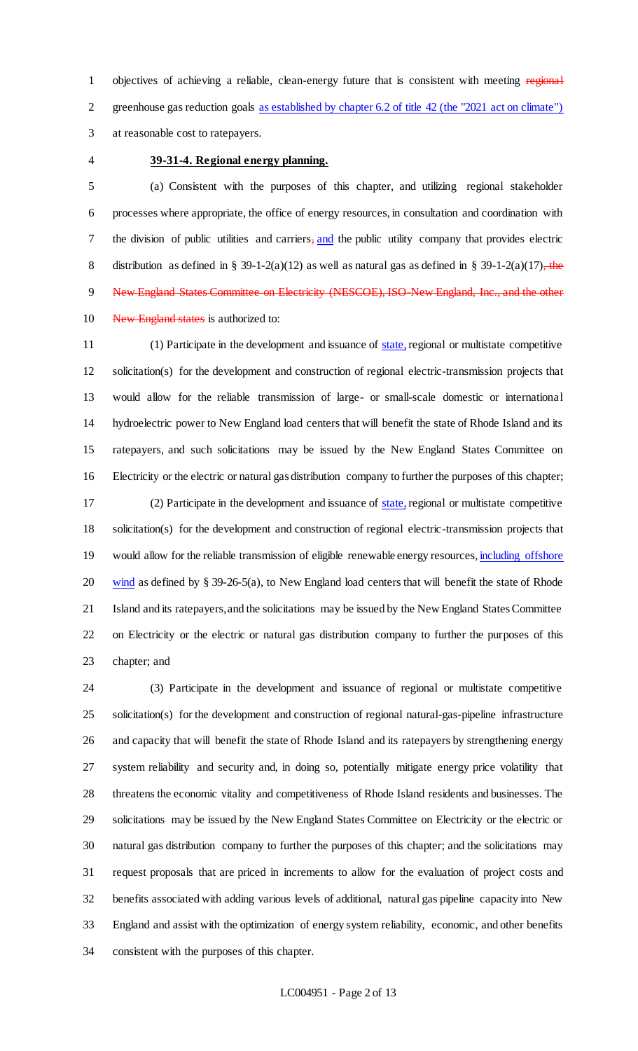1 objectives of achieving a reliable, clean-energy future that is consistent with meeting regional greenhouse gas reduction goals as established by chapter 6.2 of title 42 (the "2021 act on climate") at reasonable cost to ratepayers.

### **39-31-4. Regional energy planning.**

 (a) Consistent with the purposes of this chapter, and utilizing regional stakeholder processes where appropriate, the office of energy resources, in consultation and coordination with 7 the division of public utilities and carriers, and the public utility company that provides electric 8 distribution as defined in § 39-1-2(a)(12) as well as natural gas as defined in § 39-1-2(a)(17), the 9 New England States Committee on Electricity (NESCOE), ISO New England, Inc., and the other 10 New England states is authorized to:

11 (1) Participate in the development and issuance of state, regional or multistate competitive solicitation(s) for the development and construction of regional electric-transmission projects that would allow for the reliable transmission of large- or small-scale domestic or international hydroelectric power to New England load centers that will benefit the state of Rhode Island and its ratepayers, and such solicitations may be issued by the New England States Committee on Electricity or the electric or natural gas distribution company to further the purposes of this chapter; (2) Participate in the development and issuance of state,regional or multistate competitive solicitation(s) for the development and construction of regional electric-transmission projects that 19 would allow for the reliable transmission of eligible renewable energy resources, including offshore 20 wind as defined by  $\S 39-26-5(a)$ , to New England load centers that will benefit the state of Rhode Island and its ratepayers, and the solicitations may be issued by the New England States Committee on Electricity or the electric or natural gas distribution company to further the purposes of this chapter; and

 (3) Participate in the development and issuance of regional or multistate competitive solicitation(s) for the development and construction of regional natural-gas-pipeline infrastructure and capacity that will benefit the state of Rhode Island and its ratepayers by strengthening energy system reliability and security and, in doing so, potentially mitigate energy price volatility that threatens the economic vitality and competitiveness of Rhode Island residents and businesses. The solicitations may be issued by the New England States Committee on Electricity or the electric or natural gas distribution company to further the purposes of this chapter; and the solicitations may request proposals that are priced in increments to allow for the evaluation of project costs and benefits associated with adding various levels of additional, natural gas pipeline capacity into New England and assist with the optimization of energy system reliability, economic, and other benefits consistent with the purposes of this chapter.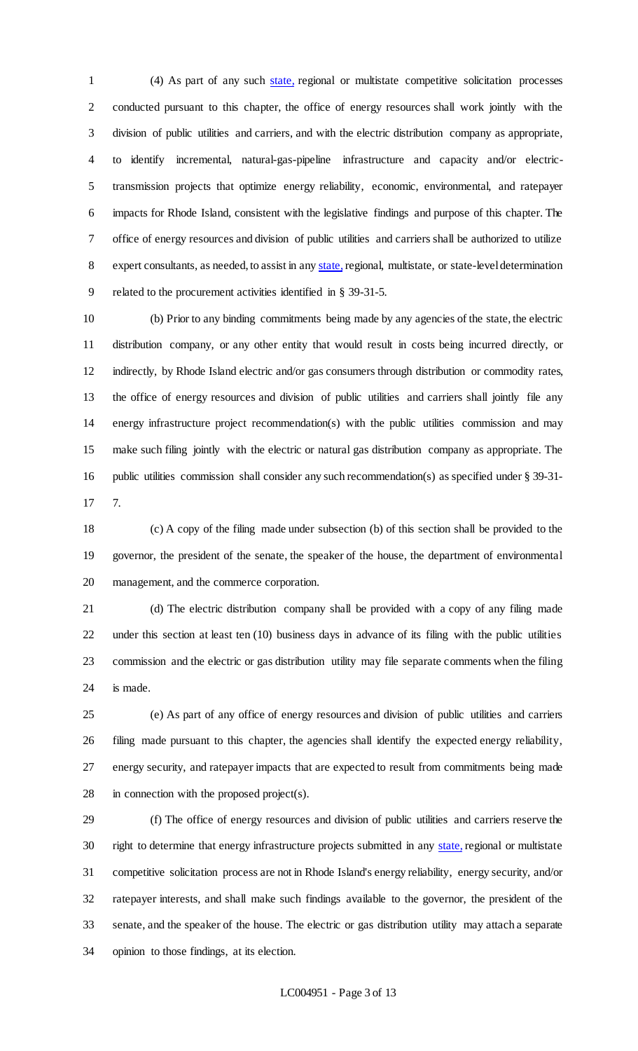(4) As part of any such state, regional or multistate competitive solicitation processes conducted pursuant to this chapter, the office of energy resources shall work jointly with the division of public utilities and carriers, and with the electric distribution company as appropriate, to identify incremental, natural-gas-pipeline infrastructure and capacity and/or electric- transmission projects that optimize energy reliability, economic, environmental, and ratepayer impacts for Rhode Island, consistent with the legislative findings and purpose of this chapter. The office of energy resources and division of public utilities and carriers shall be authorized to utilize 8 expert consultants, as needed, to assist in any state, regional, multistate, or state-level determination related to the procurement activities identified in § 39-31-5.

 (b) Prior to any binding commitments being made by any agencies of the state, the electric distribution company, or any other entity that would result in costs being incurred directly, or indirectly, by Rhode Island electric and/or gas consumers through distribution or commodity rates, the office of energy resources and division of public utilities and carriers shall jointly file any energy infrastructure project recommendation(s) with the public utilities commission and may make such filing jointly with the electric or natural gas distribution company as appropriate. The public utilities commission shall consider any such recommendation(s) as specified under § 39-31- 7.

 (c) A copy of the filing made under subsection (b) of this section shall be provided to the governor, the president of the senate, the speaker of the house, the department of environmental management, and the commerce corporation.

 (d) The electric distribution company shall be provided with a copy of any filing made under this section at least ten (10) business days in advance of its filing with the public utilities commission and the electric or gas distribution utility may file separate comments when the filing is made.

 (e) As part of any office of energy resources and division of public utilities and carriers filing made pursuant to this chapter, the agencies shall identify the expected energy reliability, energy security, and ratepayer impacts that are expected to result from commitments being made in connection with the proposed project(s).

 (f) The office of energy resources and division of public utilities and carriers reserve the 30 right to determine that energy infrastructure projects submitted in any state, regional or multistate competitive solicitation process are not in Rhode Island's energy reliability, energy security, and/or ratepayer interests, and shall make such findings available to the governor, the president of the senate, and the speaker of the house. The electric or gas distribution utility may attach a separate opinion to those findings, at its election.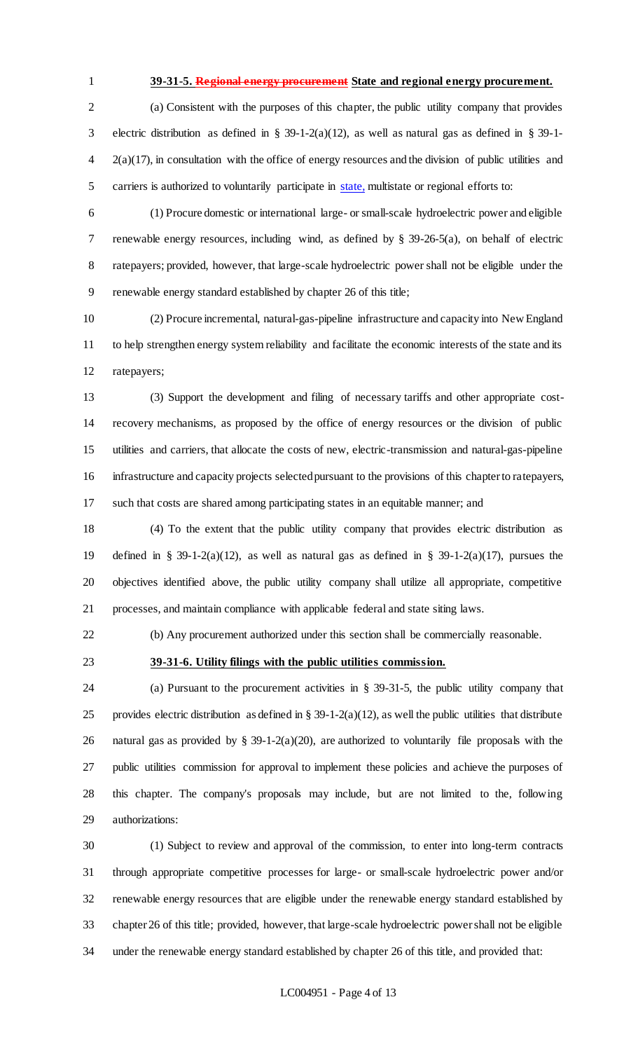### **39-31-5. Regional energy procurement State and regional energy procurement.**

 (a) Consistent with the purposes of this chapter, the public utility company that provides electric distribution as defined in § 39-1-2(a)(12), as well as natural gas as defined in § 39-1- 2(a)(17), in consultation with the office of energy resources and the division of public utilities and 5 carriers is authorized to voluntarily participate in state, multistate or regional efforts to:

 (1) Procure domestic or international large- or small-scale hydroelectric power and eligible renewable energy resources, including wind, as defined by § 39-26-5(a), on behalf of electric ratepayers; provided, however, that large-scale hydroelectric power shall not be eligible under the renewable energy standard established by chapter 26 of this title;

 (2) Procure incremental, natural-gas-pipeline infrastructure and capacity into New England to help strengthen energy system reliability and facilitate the economic interests of the state and its ratepayers;

 (3) Support the development and filing of necessary tariffs and other appropriate cost- recovery mechanisms, as proposed by the office of energy resources or the division of public utilities and carriers, that allocate the costs of new, electric-transmission and natural-gas-pipeline infrastructure and capacity projects selected pursuant to the provisions of this chapter to ratepayers, such that costs are shared among participating states in an equitable manner; and

 (4) To the extent that the public utility company that provides electric distribution as defined in § 39-1-2(a)(12), as well as natural gas as defined in § 39-1-2(a)(17), pursues the objectives identified above, the public utility company shall utilize all appropriate, competitive processes, and maintain compliance with applicable federal and state siting laws.

(b) Any procurement authorized under this section shall be commercially reasonable.

## **39-31-6. Utility filings with the public utilities commission.**

 (a) Pursuant to the procurement activities in § 39-31-5, the public utility company that 25 provides electric distribution as defined in  $\S 39-1-2(a)(12)$ , as well the public utilities that distribute natural gas as provided by § 39-1-2(a)(20), are authorized to voluntarily file proposals with the public utilities commission for approval to implement these policies and achieve the purposes of this chapter. The company's proposals may include, but are not limited to the, following authorizations:

 (1) Subject to review and approval of the commission, to enter into long-term contracts through appropriate competitive processes for large- or small-scale hydroelectric power and/or renewable energy resources that are eligible under the renewable energy standard established by chapter 26 of this title; provided, however, that large-scale hydroelectric power shall not be eligible under the renewable energy standard established by chapter 26 of this title, and provided that: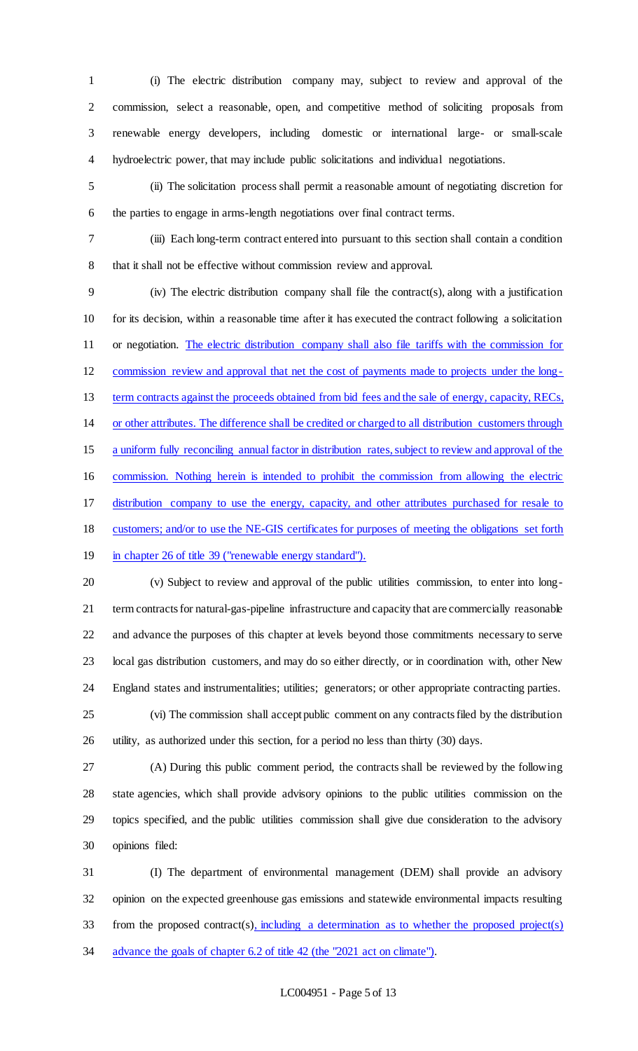(i) The electric distribution company may, subject to review and approval of the commission, select a reasonable, open, and competitive method of soliciting proposals from renewable energy developers, including domestic or international large- or small-scale hydroelectric power, that may include public solicitations and individual negotiations.

 (ii) The solicitation process shall permit a reasonable amount of negotiating discretion for the parties to engage in arms-length negotiations over final contract terms.

 (iii) Each long-term contract entered into pursuant to this section shall contain a condition that it shall not be effective without commission review and approval.

 (iv) The electric distribution company shall file the contract(s), along with a justification for its decision, within a reasonable time after it has executed the contract following a solicitation or negotiation. The electric distribution company shall also file tariffs with the commission for commission review and approval that net the cost of payments made to projects under the long-13 term contracts against the proceeds obtained from bid fees and the sale of energy, capacity, RECs, or other attributes. The difference shall be credited or charged to all distribution customers through a uniform fully reconciling annual factor in distribution rates, subject to review and approval of the commission. Nothing herein is intended to prohibit the commission from allowing the electric distribution company to use the energy, capacity, and other attributes purchased for resale to customers; and/or to use the NE-GIS certificates for purposes of meeting the obligations set forth 19 in chapter 26 of title 39 ("renewable energy standard").

 (v) Subject to review and approval of the public utilities commission, to enter into long- term contracts for natural-gas-pipeline infrastructure and capacity that are commercially reasonable and advance the purposes of this chapter at levels beyond those commitments necessary to serve local gas distribution customers, and may do so either directly, or in coordination with, other New England states and instrumentalities; utilities; generators; or other appropriate contracting parties.

 (vi) The commission shall accept public comment on any contracts filed by the distribution utility, as authorized under this section, for a period no less than thirty (30) days.

 (A) During this public comment period, the contracts shall be reviewed by the following state agencies, which shall provide advisory opinions to the public utilities commission on the topics specified, and the public utilities commission shall give due consideration to the advisory opinions filed:

 (I) The department of environmental management (DEM) shall provide an advisory opinion on the expected greenhouse gas emissions and statewide environmental impacts resulting from the proposed contract(s), including a determination as to whether the proposed project(s) 34 advance the goals of chapter 6.2 of title 42 (the "2021 act on climate").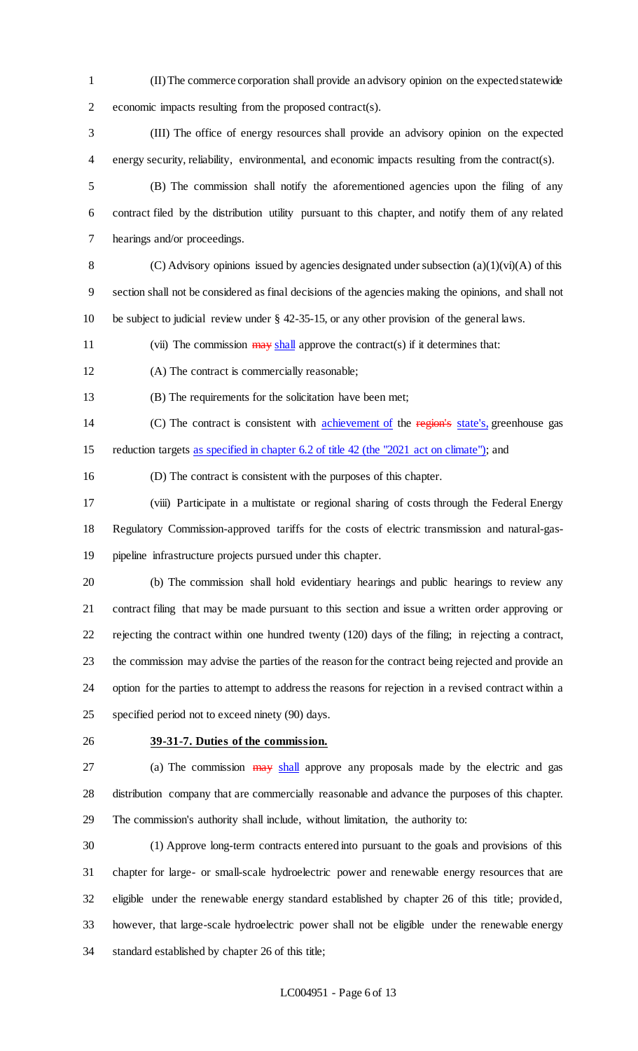- (II) The commerce corporation shall provide an advisory opinion on the expected statewide economic impacts resulting from the proposed contract(s).
- (III) The office of energy resources shall provide an advisory opinion on the expected energy security, reliability, environmental, and economic impacts resulting from the contract(s).
- (B) The commission shall notify the aforementioned agencies upon the filing of any contract filed by the distribution utility pursuant to this chapter, and notify them of any related hearings and/or proceedings.
- 8 (C) Advisory opinions issued by agencies designated under subsection  $(a)(1)(vi)(A)$  of this section shall not be considered as final decisions of the agencies making the opinions, and shall not be subject to judicial review under § 42-35-15, or any other provision of the general laws.
- 11 (vii) The commission  $\frac{1}{2}$  approve the contract(s) if it determines that:
- (A) The contract is commercially reasonable;
- (B) The requirements for the solicitation have been met;
- 14 (C) The contract is consistent with achievement of the region's state's, greenhouse gas 15 reduction targets as specified in chapter 6.2 of title 42 (the "2021 act on climate"); and
- (D) The contract is consistent with the purposes of this chapter.
- (viii) Participate in a multistate or regional sharing of costs through the Federal Energy Regulatory Commission-approved tariffs for the costs of electric transmission and natural-gas-pipeline infrastructure projects pursued under this chapter.
- (b) The commission shall hold evidentiary hearings and public hearings to review any contract filing that may be made pursuant to this section and issue a written order approving or rejecting the contract within one hundred twenty (120) days of the filing; in rejecting a contract, the commission may advise the parties of the reason for the contract being rejected and provide an option for the parties to attempt to address the reasons for rejection in a revised contract within a specified period not to exceed ninety (90) days.
- 

## **39-31-7. Duties of the commission.**

27 (a) The commission  $\frac{1}{2}$  approve any proposals made by the electric and gas distribution company that are commercially reasonable and advance the purposes of this chapter. The commission's authority shall include, without limitation, the authority to:

 (1) Approve long-term contracts entered into pursuant to the goals and provisions of this chapter for large- or small-scale hydroelectric power and renewable energy resources that are eligible under the renewable energy standard established by chapter 26 of this title; provided, however, that large-scale hydroelectric power shall not be eligible under the renewable energy standard established by chapter 26 of this title;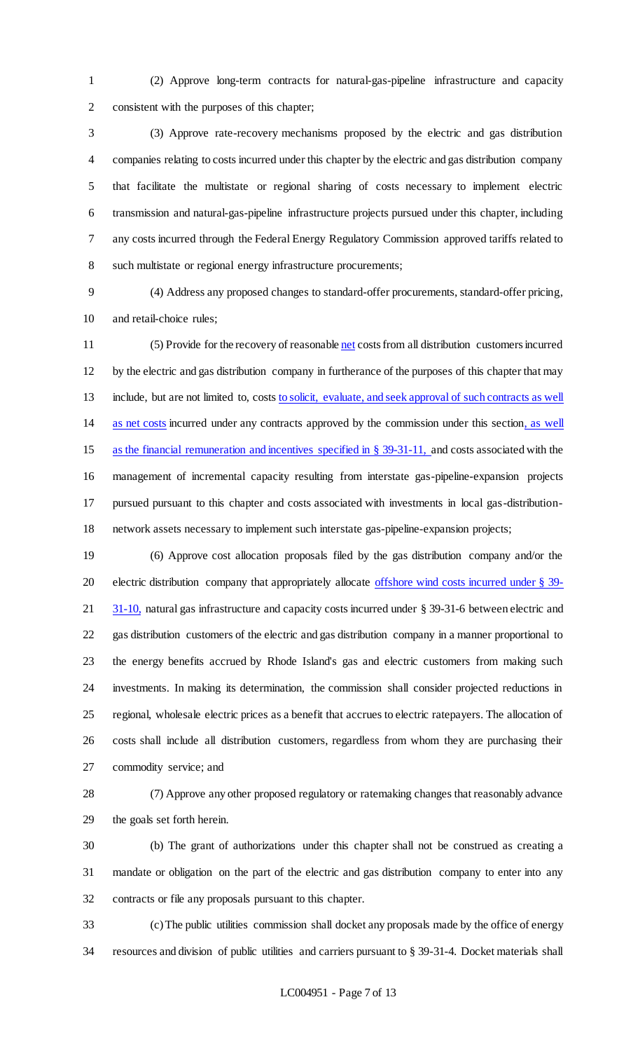(2) Approve long-term contracts for natural-gas-pipeline infrastructure and capacity consistent with the purposes of this chapter;

 (3) Approve rate-recovery mechanisms proposed by the electric and gas distribution companies relating to costs incurred under this chapter by the electric and gas distribution company that facilitate the multistate or regional sharing of costs necessary to implement electric transmission and natural-gas-pipeline infrastructure projects pursued under this chapter, including any costs incurred through the Federal Energy Regulatory Commission approved tariffs related to such multistate or regional energy infrastructure procurements;

 (4) Address any proposed changes to standard-offer procurements, standard-offer pricing, and retail-choice rules;

 (5) Provide for the recovery of reasonable net costs from all distribution customers incurred by the electric and gas distribution company in furtherance of the purposes of this chapter that may 13 include, but are not limited to, costs to solicit, evaluate, and seek approval of such contracts as well as net costs incurred under any contracts approved by the commission under this section, as well as the financial remuneration and incentives specified in § 39-31-11, and costs associated with the management of incremental capacity resulting from interstate gas-pipeline-expansion projects pursued pursuant to this chapter and costs associated with investments in local gas-distribution-network assets necessary to implement such interstate gas-pipeline-expansion projects;

 (6) Approve cost allocation proposals filed by the gas distribution company and/or the 20 electric distribution company that appropriately allocate offshore wind costs incurred under § 39-21 31-10, natural gas infrastructure and capacity costs incurred under § 39-31-6 between electric and gas distribution customers of the electric and gas distribution company in a manner proportional to the energy benefits accrued by Rhode Island's gas and electric customers from making such investments. In making its determination, the commission shall consider projected reductions in regional, wholesale electric prices as a benefit that accrues to electric ratepayers. The allocation of costs shall include all distribution customers, regardless from whom they are purchasing their commodity service; and

 (7) Approve any other proposed regulatory or ratemaking changes that reasonably advance the goals set forth herein.

 (b) The grant of authorizations under this chapter shall not be construed as creating a mandate or obligation on the part of the electric and gas distribution company to enter into any contracts or file any proposals pursuant to this chapter.

 (c) The public utilities commission shall docket any proposals made by the office of energy resources and division of public utilities and carriers pursuant to § 39-31-4. Docket materials shall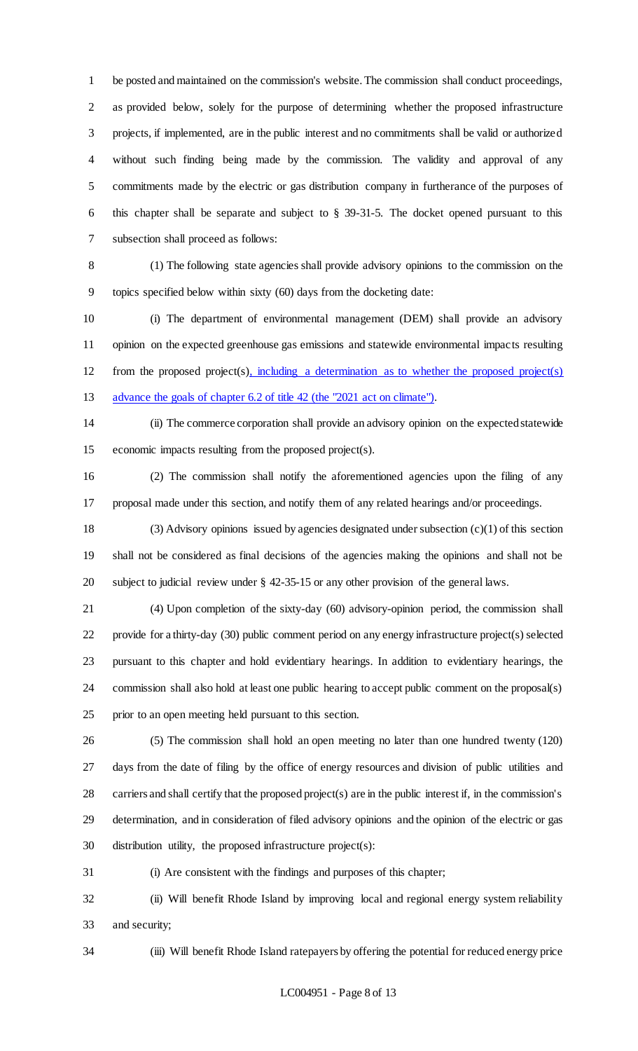be posted and maintained on the commission's website. The commission shall conduct proceedings, as provided below, solely for the purpose of determining whether the proposed infrastructure projects, if implemented, are in the public interest and no commitments shall be valid or authorized without such finding being made by the commission. The validity and approval of any commitments made by the electric or gas distribution company in furtherance of the purposes of this chapter shall be separate and subject to § 39-31-5. The docket opened pursuant to this subsection shall proceed as follows:

 (1) The following state agencies shall provide advisory opinions to the commission on the topics specified below within sixty (60) days from the docketing date:

 (i) The department of environmental management (DEM) shall provide an advisory opinion on the expected greenhouse gas emissions and statewide environmental impacts resulting from the proposed project(s), including a determination as to whether the proposed project(s) 13 advance the goals of chapter 6.2 of title 42 (the "2021 act on climate").

 (ii) The commerce corporation shall provide an advisory opinion on the expected statewide economic impacts resulting from the proposed project(s).

 (2) The commission shall notify the aforementioned agencies upon the filing of any proposal made under this section, and notify them of any related hearings and/or proceedings.

 (3) Advisory opinions issued by agencies designated under subsection (c)(1) of this section shall not be considered as final decisions of the agencies making the opinions and shall not be subject to judicial review under § 42-35-15 or any other provision of the general laws.

 (4) Upon completion of the sixty-day (60) advisory-opinion period, the commission shall provide for a thirty-day (30) public comment period on any energy infrastructure project(s) selected pursuant to this chapter and hold evidentiary hearings. In addition to evidentiary hearings, the commission shall also hold at least one public hearing to accept public comment on the proposal(s) prior to an open meeting held pursuant to this section.

 (5) The commission shall hold an open meeting no later than one hundred twenty (120) days from the date of filing by the office of energy resources and division of public utilities and carriers and shall certify that the proposed project(s) are in the public interest if, in the commission's determination, and in consideration of filed advisory opinions and the opinion of the electric or gas distribution utility, the proposed infrastructure project(s):

(i) Are consistent with the findings and purposes of this chapter;

 (ii) Will benefit Rhode Island by improving local and regional energy system reliability and security;

(iii) Will benefit Rhode Island ratepayers by offering the potential for reduced energy price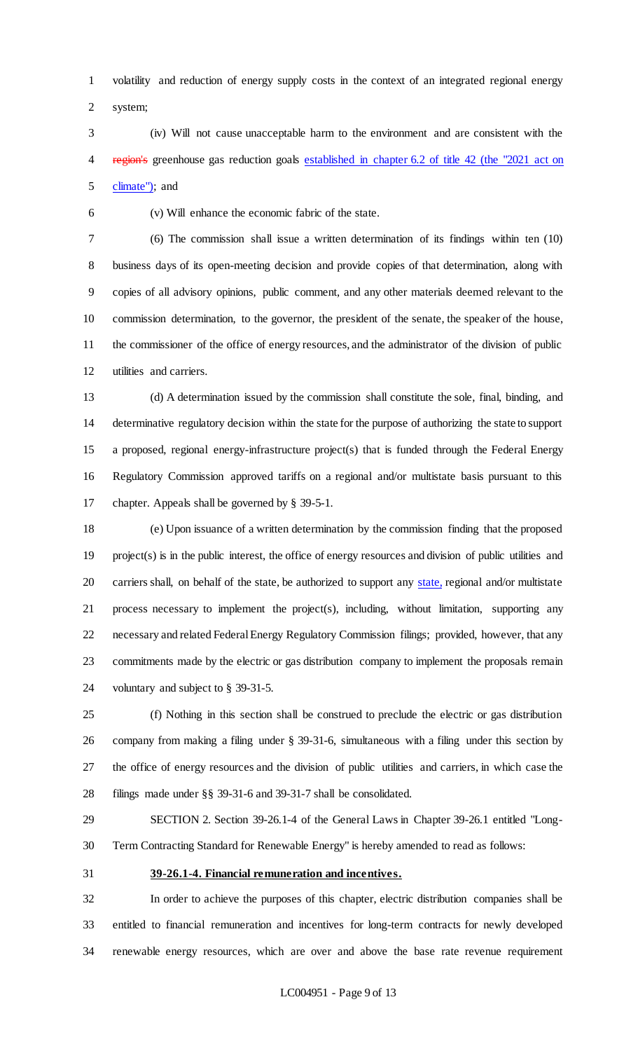volatility and reduction of energy supply costs in the context of an integrated regional energy system;

 (iv) Will not cause unacceptable harm to the environment and are consistent with the 4 region's greenhouse gas reduction goals established in chapter 6.2 of title 42 (the "2021 act on climate"); and

(v) Will enhance the economic fabric of the state.

 (6) The commission shall issue a written determination of its findings within ten (10) business days of its open-meeting decision and provide copies of that determination, along with copies of all advisory opinions, public comment, and any other materials deemed relevant to the commission determination, to the governor, the president of the senate, the speaker of the house, the commissioner of the office of energy resources, and the administrator of the division of public utilities and carriers.

 (d) A determination issued by the commission shall constitute the sole, final, binding, and determinative regulatory decision within the state for the purpose of authorizing the state to support a proposed, regional energy-infrastructure project(s) that is funded through the Federal Energy Regulatory Commission approved tariffs on a regional and/or multistate basis pursuant to this chapter. Appeals shall be governed by § 39-5-1.

 (e) Upon issuance of a written determination by the commission finding that the proposed project(s) is in the public interest, the office of energy resources and division of public utilities and 20 carriers shall, on behalf of the state, be authorized to support any state, regional and/or multistate process necessary to implement the project(s), including, without limitation, supporting any necessary and related Federal Energy Regulatory Commission filings; provided, however, that any commitments made by the electric or gas distribution company to implement the proposals remain voluntary and subject to § 39-31-5.

 (f) Nothing in this section shall be construed to preclude the electric or gas distribution company from making a filing under § 39-31-6, simultaneous with a filing under this section by the office of energy resources and the division of public utilities and carriers, in which case the filings made under §§ 39-31-6 and 39-31-7 shall be consolidated.

 SECTION 2. Section 39-26.1-4 of the General Laws in Chapter 39-26.1 entitled "Long-Term Contracting Standard for Renewable Energy" is hereby amended to read as follows:

**39-26.1-4. Financial remuneration and incentives.**

 In order to achieve the purposes of this chapter, electric distribution companies shall be entitled to financial remuneration and incentives for long-term contracts for newly developed renewable energy resources, which are over and above the base rate revenue requirement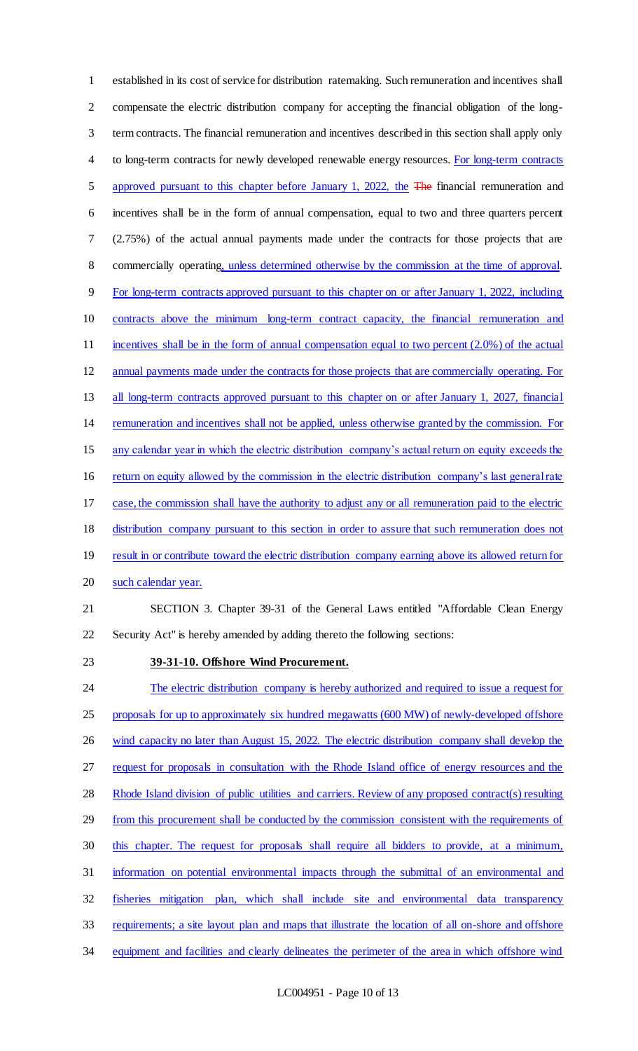established in its cost of service for distribution ratemaking. Such remuneration and incentives shall compensate the electric distribution company for accepting the financial obligation of the long- term contracts. The financial remuneration and incentives described in this section shall apply only 4 to long-term contracts for newly developed renewable energy resources. For long-term contracts 5 approved pursuant to this chapter before January 1, 2022, the The financial remuneration and incentives shall be in the form of annual compensation, equal to two and three quarters percent (2.75%) of the actual annual payments made under the contracts for those projects that are commercially operating, unless determined otherwise by the commission at the time of approval. For long-term contracts approved pursuant to this chapter on or after January 1, 2022, including contracts above the minimum long-term contract capacity, the financial remuneration and 11 incentives shall be in the form of annual compensation equal to two percent (2.0%) of the actual annual payments made under the contracts for those projects that are commercially operating. For 13 all long-term contracts approved pursuant to this chapter on or after January 1, 2027, financial remuneration and incentives shall not be applied, unless otherwise granted by the commission. For any calendar year in which the electric distribution company's actual return on equity exceeds the return on equity allowed by the commission in the electric distribution company's last general rate case, the commission shall have the authority to adjust any or all remuneration paid to the electric distribution company pursuant to this section in order to assure that such remuneration does not 19 result in or contribute toward the electric distribution company earning above its allowed return for such calendar year. SECTION 3. Chapter 39-31 of the General Laws entitled "Affordable Clean Energy Security Act" is hereby amended by adding thereto the following sections: **39-31-10. Offshore Wind Procurement.** 24 The electric distribution company is hereby authorized and required to issue a request for 25 proposals for up to approximately six hundred megawatts (600 MW) of newly-developed offshore 26 wind capacity no later than August 15, 2022. The electric distribution company shall develop the request for proposals in consultation with the Rhode Island office of energy resources and the 28 Rhode Island division of public utilities and carriers. Review of any proposed contract(s) resulting 29 from this procurement shall be conducted by the commission consistent with the requirements of

- this chapter. The request for proposals shall require all bidders to provide, at a minimum,
- information on potential environmental impacts through the submittal of an environmental and
- fisheries mitigation plan, which shall include site and environmental data transparency
- requirements; a site layout plan and maps that illustrate the location of all on-shore and offshore
- equipment and facilities and clearly delineates the perimeter of the area in which offshore wind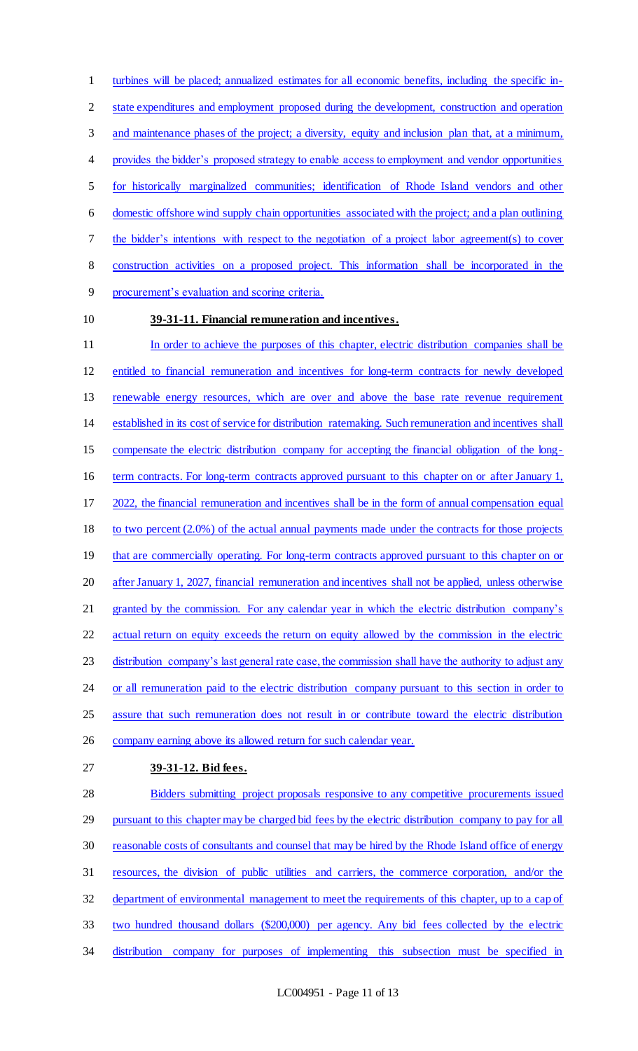turbines will be placed; annualized estimates for all economic benefits, including the specific in- state expenditures and employment proposed during the development, construction and operation 3 and maintenance phases of the project; a diversity, equity and inclusion plan that, at a minimum, provides the bidder's proposed strategy to enable access to employment and vendor opportunities for historically marginalized communities; identification of Rhode Island vendors and other domestic offshore wind supply chain opportunities associated with the project; and a plan outlining the bidder's intentions with respect to the negotiation of a project labor agreement(s) to cover construction activities on a proposed project. This information shall be incorporated in the procurement's evaluation and scoring criteria. **39-31-11. Financial remuneration and incentives.**

- In order to achieve the purposes of this chapter, electric distribution companies shall be entitled to financial remuneration and incentives for long-term contracts for newly developed renewable energy resources, which are over and above the base rate revenue requirement established in its cost of service for distribution ratemaking. Such remuneration and incentives shall compensate the electric distribution company for accepting the financial obligation of the long- term contracts. For long-term contracts approved pursuant to this chapter on or after January 1, 2022, the financial remuneration and incentives shall be in the form of annual compensation equal 18 to two percent (2.0%) of the actual annual payments made under the contracts for those projects 19 that are commercially operating. For long-term contracts approved pursuant to this chapter on or after January 1, 2027, financial remuneration and incentives shall not be applied, unless otherwise granted by the commission. For any calendar year in which the electric distribution company's actual return on equity exceeds the return on equity allowed by the commission in the electric 23 distribution company's last general rate case, the commission shall have the authority to adjust any 24 or all remuneration paid to the electric distribution company pursuant to this section in order to assure that such remuneration does not result in or contribute toward the electric distribution 26 company earning above its allowed return for such calendar year.
- **39-31-12. Bid fees.**

28 Bidders submitting project proposals responsive to any competitive procurements issued pursuant to this chapter may be charged bid fees by the electric distribution company to pay for all reasonable costs of consultants and counsel that may be hired by the Rhode Island office of energy resources, the division of public utilities and carriers, the commerce corporation, and/or the department of environmental management to meet the requirements of this chapter, up to a cap of two hundred thousand dollars (\$200,000) per agency. Any bid fees collected by the electric distribution company for purposes of implementing this subsection must be specified in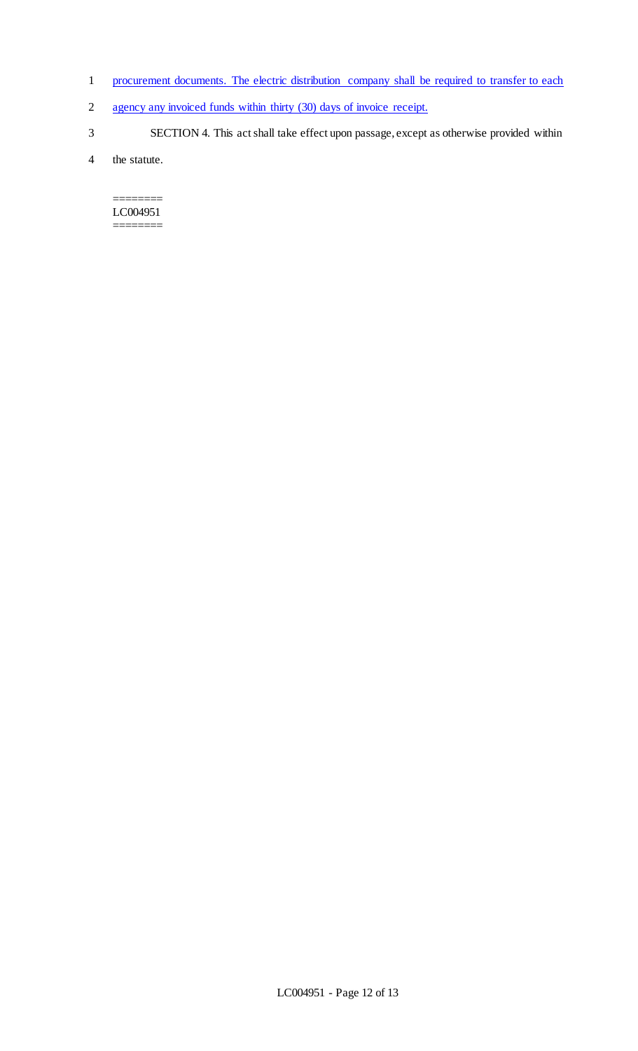- 1 procurement documents. The electric distribution company shall be required to transfer to each
- 2 agency any invoiced funds within thirty (30) days of invoice receipt.
- 3 SECTION 4. This act shall take effect upon passage, except as otherwise provided within

4 the statute.

======== LC004951 ========